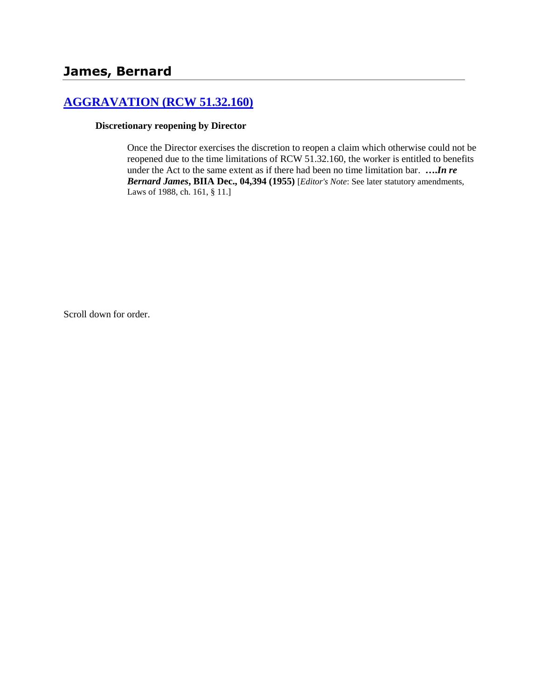# **[AGGRAVATION \(RCW 51.32.160\)](http://www.biia.wa.gov/SDSubjectIndex.html#AGGRAVATION)**

#### **Discretionary reopening by Director**

Once the Director exercises the discretion to reopen a claim which otherwise could not be reopened due to the time limitations of RCW 51.32.160, the worker is entitled to benefits under the Act to the same extent as if there had been no time limitation bar. **….***In re Bernard James***, BIIA Dec., 04,394 (1955)** [*Editor's Note*: See later statutory amendments, Laws of 1988, ch. 161, § 11.]

Scroll down for order.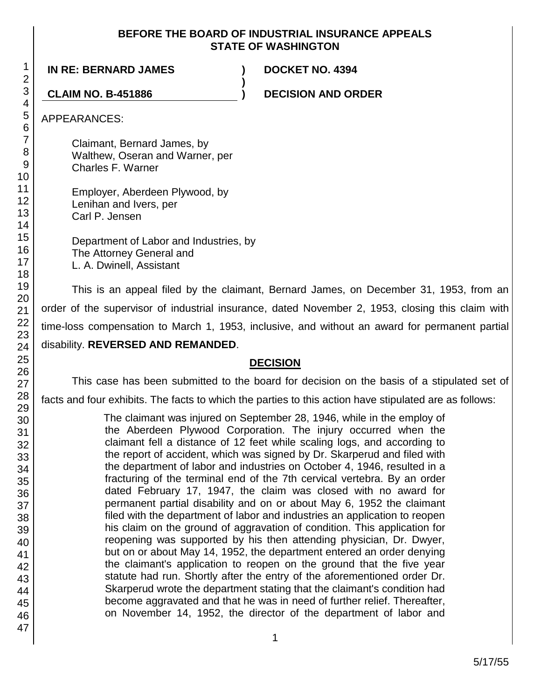### **BEFORE THE BOARD OF INDUSTRIAL INSURANCE APPEALS STATE OF WASHINGTON**

**)**

**IN RE: BERNARD JAMES ) DOCKET NO. 4394**

**CLAIM NO. B-451886 ) DECISION AND ORDER**

APPEARANCES:

Claimant, Bernard James, by Walthew, Oseran and Warner, per Charles F. Warner

Employer, Aberdeen Plywood, by Lenihan and Ivers, per Carl P. Jensen

Department of Labor and Industries, by The Attorney General and L. A. Dwinell, Assistant

This is an appeal filed by the claimant, Bernard James, on December 31, 1953, from an order of the supervisor of industrial insurance, dated November 2, 1953, closing this claim with time-loss compensation to March 1, 1953, inclusive, and without an award for permanent partial disability. **REVERSED AND REMANDED**.

# **DECISION**

This case has been submitted to the board for decision on the basis of a stipulated set of facts and four exhibits. The facts to which the parties to this action have stipulated are as follows:

> The claimant was injured on September 28, 1946, while in the employ of the Aberdeen Plywood Corporation. The injury occurred when the claimant fell a distance of 12 feet while scaling logs, and according to the report of accident, which was signed by Dr. Skarperud and filed with the department of labor and industries on October 4, 1946, resulted in a fracturing of the terminal end of the 7th cervical vertebra. By an order dated February 17, 1947, the claim was closed with no award for permanent partial disability and on or about May 6, 1952 the claimant filed with the department of labor and industries an application to reopen his claim on the ground of aggravation of condition. This application for reopening was supported by his then attending physician, Dr. Dwyer, but on or about May 14, 1952, the department entered an order denying the claimant's application to reopen on the ground that the five year statute had run. Shortly after the entry of the aforementioned order Dr. Skarperud wrote the department stating that the claimant's condition had become aggravated and that he was in need of further relief. Thereafter, on November 14, 1952, the director of the department of labor and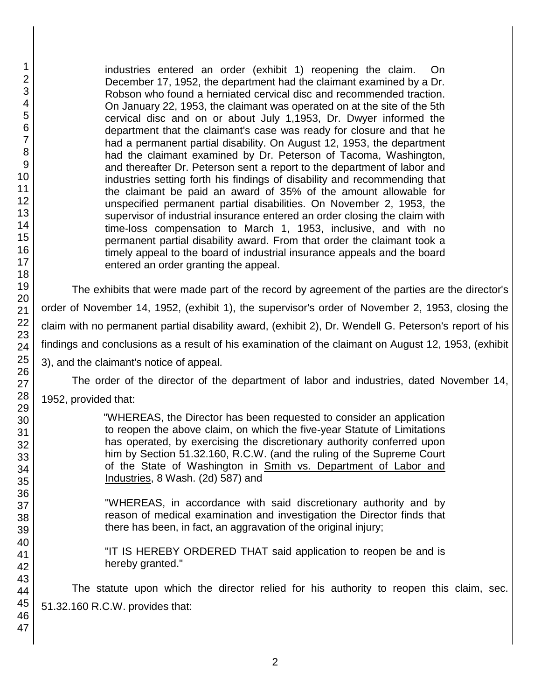industries entered an order (exhibit 1) reopening the claim. On December 17, 1952, the department had the claimant examined by a Dr. Robson who found a herniated cervical disc and recommended traction. On January 22, 1953, the claimant was operated on at the site of the 5th cervical disc and on or about July 1,1953, Dr. Dwyer informed the department that the claimant's case was ready for closure and that he had a permanent partial disability. On August 12, 1953, the department had the claimant examined by Dr. Peterson of Tacoma, Washington, and thereafter Dr. Peterson sent a report to the department of labor and industries setting forth his findings of disability and recommending that the claimant be paid an award of 35% of the amount allowable for unspecified permanent partial disabilities. On November 2, 1953, the supervisor of industrial insurance entered an order closing the claim with time-loss compensation to March 1, 1953, inclusive, and with no permanent partial disability award. From that order the claimant took a timely appeal to the board of industrial insurance appeals and the board entered an order granting the appeal.

The exhibits that were made part of the record by agreement of the parties are the director's order of November 14, 1952, (exhibit 1), the supervisor's order of November 2, 1953, closing the claim with no permanent partial disability award, (exhibit 2), Dr. Wendell G. Peterson's report of his findings and conclusions as a result of his examination of the claimant on August 12, 1953, (exhibit 3), and the claimant's notice of appeal.

The order of the director of the department of labor and industries, dated November 14, 1952, provided that:

> "WHEREAS, the Director has been requested to consider an application to reopen the above claim, on which the five-year Statute of Limitations has operated, by exercising the discretionary authority conferred upon him by Section 51.32.160, R.C.W. (and the ruling of the Supreme Court of the State of Washington in Smith vs. Department of Labor and Industries, 8 Wash. (2d) 587) and

> "WHEREAS, in accordance with said discretionary authority and by reason of medical examination and investigation the Director finds that there has been, in fact, an aggravation of the original injury;

> "IT IS HEREBY ORDERED THAT said application to reopen be and is hereby granted."

The statute upon which the director relied for his authority to reopen this claim, sec. 51.32.160 R.C.W. provides that: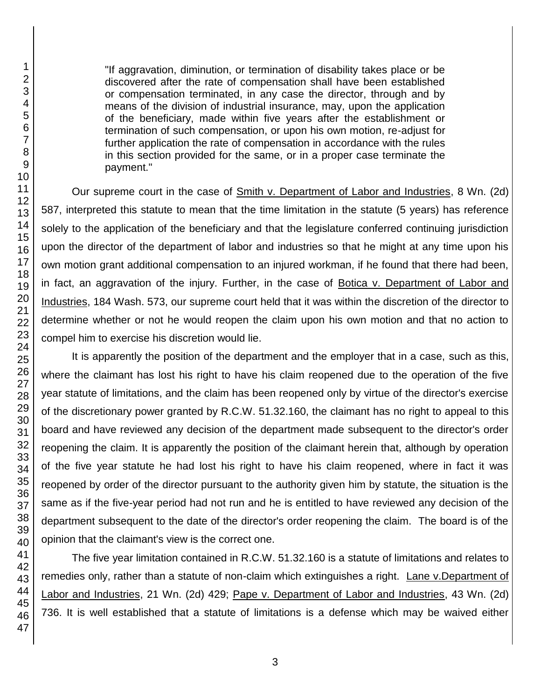"If aggravation, diminution, or termination of disability takes place or be discovered after the rate of compensation shall have been established or compensation terminated, in any case the director, through and by means of the division of industrial insurance, may, upon the application of the beneficiary, made within five years after the establishment or termination of such compensation, or upon his own motion, re-adjust for further application the rate of compensation in accordance with the rules in this section provided for the same, or in a proper case terminate the payment."

Our supreme court in the case of Smith v. Department of Labor and Industries, 8 Wn. (2d) 587, interpreted this statute to mean that the time limitation in the statute (5 years) has reference solely to the application of the beneficiary and that the legislature conferred continuing jurisdiction upon the director of the department of labor and industries so that he might at any time upon his own motion grant additional compensation to an injured workman, if he found that there had been, in fact, an aggravation of the injury. Further, in the case of Botica v. Department of Labor and Industries, 184 Wash. 573, our supreme court held that it was within the discretion of the director to determine whether or not he would reopen the claim upon his own motion and that no action to compel him to exercise his discretion would lie.

It is apparently the position of the department and the employer that in a case, such as this, where the claimant has lost his right to have his claim reopened due to the operation of the five year statute of limitations, and the claim has been reopened only by virtue of the director's exercise of the discretionary power granted by R.C.W. 51.32.160, the claimant has no right to appeal to this board and have reviewed any decision of the department made subsequent to the director's order reopening the claim. It is apparently the position of the claimant herein that, although by operation of the five year statute he had lost his right to have his claim reopened, where in fact it was reopened by order of the director pursuant to the authority given him by statute, the situation is the same as if the five-year period had not run and he is entitled to have reviewed any decision of the department subsequent to the date of the director's order reopening the claim. The board is of the opinion that the claimant's view is the correct one.

The five year limitation contained in R.C.W. 51.32.160 is a statute of limitations and relates to remedies only, rather than a statute of non-claim which extinguishes a right. Lane v.Department of Labor and Industries, 21 Wn. (2d) 429; Pape v. Department of Labor and Industries, 43 Wn. (2d) 736. It is well established that a statute of limitations is a defense which may be waived either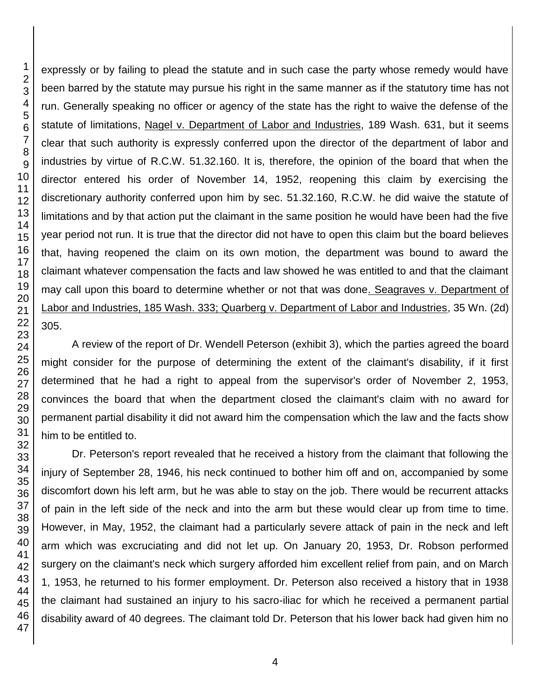expressly or by failing to plead the statute and in such case the party whose remedy would have been barred by the statute may pursue his right in the same manner as if the statutory time has not run. Generally speaking no officer or agency of the state has the right to waive the defense of the statute of limitations, Nagel v. Department of Labor and Industries, 189 Wash. 631, but it seems clear that such authority is expressly conferred upon the director of the department of labor and industries by virtue of R.C.W. 51.32.160. It is, therefore, the opinion of the board that when the director entered his order of November 14, 1952, reopening this claim by exercising the discretionary authority conferred upon him by sec. 51.32.160, R.C.W. he did waive the statute of limitations and by that action put the claimant in the same position he would have been had the five year period not run. It is true that the director did not have to open this claim but the board believes that, having reopened the claim on its own motion, the department was bound to award the claimant whatever compensation the facts and law showed he was entitled to and that the claimant may call upon this board to determine whether or not that was done. Seagraves v. Department of Labor and Industries, 185 Wash. 333; Quarberg v. Department of Labor and Industries, 35 Wn. (2d) 305.

A review of the report of Dr. Wendell Peterson (exhibit 3), which the parties agreed the board might consider for the purpose of determining the extent of the claimant's disability, if it first determined that he had a right to appeal from the supervisor's order of November 2, 1953, convinces the board that when the department closed the claimant's claim with no award for permanent partial disability it did not award him the compensation which the law and the facts show him to be entitled to.

Dr. Peterson's report revealed that he received a history from the claimant that following the injury of September 28, 1946, his neck continued to bother him off and on, accompanied by some discomfort down his left arm, but he was able to stay on the job. There would be recurrent attacks of pain in the left side of the neck and into the arm but these would clear up from time to time. However, in May, 1952, the claimant had a particularly severe attack of pain in the neck and left arm which was excruciating and did not let up. On January 20, 1953, Dr. Robson performed surgery on the claimant's neck which surgery afforded him excellent relief from pain, and on March 1, 1953, he returned to his former employment. Dr. Peterson also received a history that in 1938 the claimant had sustained an injury to his sacro-iliac for which he received a permanent partial disability award of 40 degrees. The claimant told Dr. Peterson that his lower back had given him no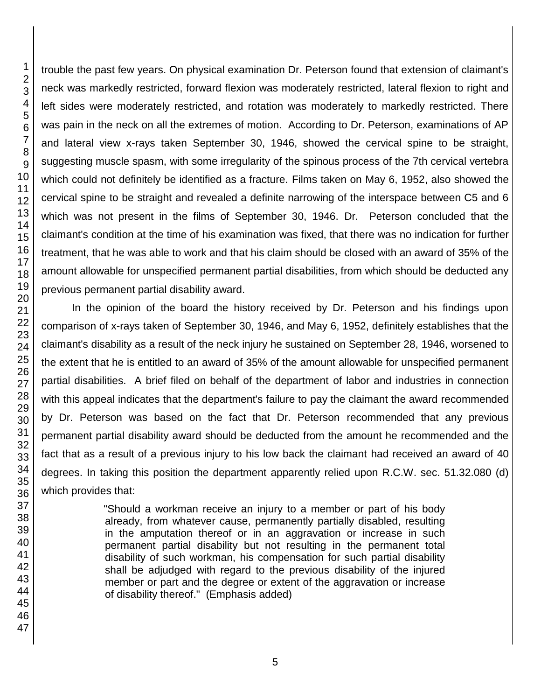trouble the past few years. On physical examination Dr. Peterson found that extension of claimant's neck was markedly restricted, forward flexion was moderately restricted, lateral flexion to right and left sides were moderately restricted, and rotation was moderately to markedly restricted. There was pain in the neck on all the extremes of motion. According to Dr. Peterson, examinations of AP and lateral view x-rays taken September 30, 1946, showed the cervical spine to be straight, suggesting muscle spasm, with some irregularity of the spinous process of the 7th cervical vertebra which could not definitely be identified as a fracture. Films taken on May 6, 1952, also showed the cervical spine to be straight and revealed a definite narrowing of the interspace between C5 and 6 which was not present in the films of September 30, 1946. Dr. Peterson concluded that the claimant's condition at the time of his examination was fixed, that there was no indication for further treatment, that he was able to work and that his claim should be closed with an award of 35% of the amount allowable for unspecified permanent partial disabilities, from which should be deducted any previous permanent partial disability award.

In the opinion of the board the history received by Dr. Peterson and his findings upon comparison of x-rays taken of September 30, 1946, and May 6, 1952, definitely establishes that the claimant's disability as a result of the neck injury he sustained on September 28, 1946, worsened to the extent that he is entitled to an award of 35% of the amount allowable for unspecified permanent partial disabilities. A brief filed on behalf of the department of labor and industries in connection with this appeal indicates that the department's failure to pay the claimant the award recommended by Dr. Peterson was based on the fact that Dr. Peterson recommended that any previous permanent partial disability award should be deducted from the amount he recommended and the fact that as a result of a previous injury to his low back the claimant had received an award of 40 degrees. In taking this position the department apparently relied upon R.C.W. sec. 51.32.080 (d) which provides that:

> "Should a workman receive an injury to a member or part of his body already, from whatever cause, permanently partially disabled, resulting in the amputation thereof or in an aggravation or increase in such permanent partial disability but not resulting in the permanent total disability of such workman, his compensation for such partial disability shall be adjudged with regard to the previous disability of the injured member or part and the degree or extent of the aggravation or increase of disability thereof." (Emphasis added)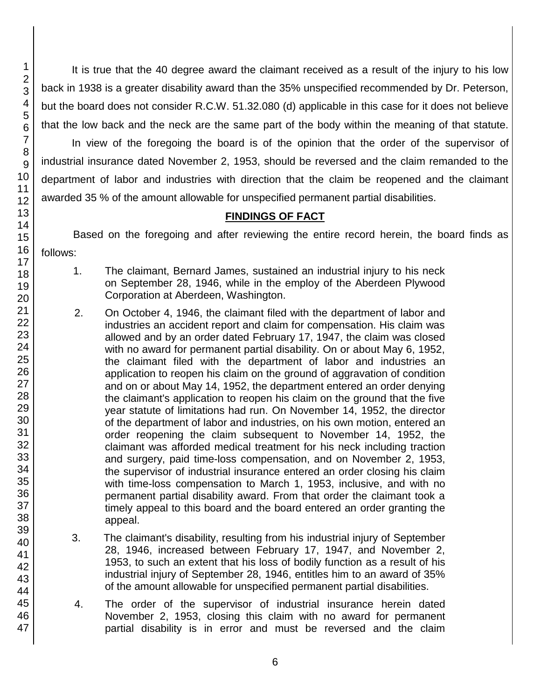It is true that the 40 degree award the claimant received as a result of the injury to his low back in 1938 is a greater disability award than the 35% unspecified recommended by Dr. Peterson, but the board does not consider R.C.W. 51.32.080 (d) applicable in this case for it does not believe that the low back and the neck are the same part of the body within the meaning of that statute.

In view of the foregoing the board is of the opinion that the order of the supervisor of industrial insurance dated November 2, 1953, should be reversed and the claim remanded to the department of labor and industries with direction that the claim be reopened and the claimant awarded 35 % of the amount allowable for unspecified permanent partial disabilities.

# **FINDINGS OF FACT**

Based on the foregoing and after reviewing the entire record herein, the board finds as follows:

- 1. The claimant, Bernard James, sustained an industrial injury to his neck on September 28, 1946, while in the employ of the Aberdeen Plywood Corporation at Aberdeen, Washington.
- 2. On October 4, 1946, the claimant filed with the department of labor and industries an accident report and claim for compensation. His claim was allowed and by an order dated February 17, 1947, the claim was closed with no award for permanent partial disability. On or about May 6, 1952, the claimant filed with the department of labor and industries an application to reopen his claim on the ground of aggravation of condition and on or about May 14, 1952, the department entered an order denying the claimant's application to reopen his claim on the ground that the five year statute of limitations had run. On November 14, 1952, the director of the department of labor and industries, on his own motion, entered an order reopening the claim subsequent to November 14, 1952, the claimant was afforded medical treatment for his neck including traction and surgery, paid time-loss compensation, and on November 2, 1953, the supervisor of industrial insurance entered an order closing his claim with time-loss compensation to March 1, 1953, inclusive, and with no permanent partial disability award. From that order the claimant took a timely appeal to this board and the board entered an order granting the appeal.
- 3. The claimant's disability, resulting from his industrial injury of September 28, 1946, increased between February 17, 1947, and November 2, 1953, to such an extent that his loss of bodily function as a result of his industrial injury of September 28, 1946, entitles him to an award of 35% of the amount allowable for unspecified permanent partial disabilities.
- 4. The order of the supervisor of industrial insurance herein dated November 2, 1953, closing this claim with no award for permanent partial disability is in error and must be reversed and the claim